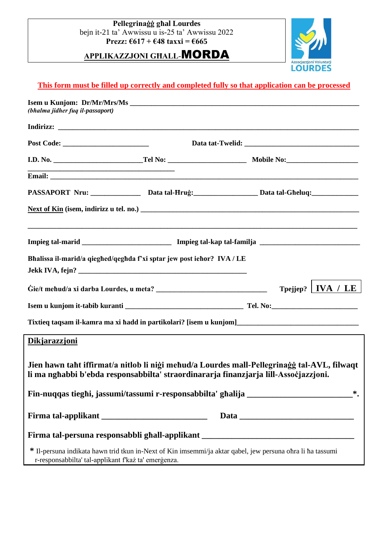**Pellegrinaġġ għal Lourdes**  bejn it-21 ta' Awwissu u is-25 ta' Awwissu 2022 **Prezz: €617 + €48 taxxi = €665** 

**APPLIKAZZJONI GĦALL**-MORDA



## **This form must be filled up correctly and completed fully so that application can be processed**

| (bhalma jidher fuq il-passaport)                     |                                                                        |                                                                                                                                                                                     |  |  |  |
|------------------------------------------------------|------------------------------------------------------------------------|-------------------------------------------------------------------------------------------------------------------------------------------------------------------------------------|--|--|--|
|                                                      |                                                                        |                                                                                                                                                                                     |  |  |  |
|                                                      |                                                                        |                                                                                                                                                                                     |  |  |  |
|                                                      |                                                                        |                                                                                                                                                                                     |  |  |  |
|                                                      |                                                                        |                                                                                                                                                                                     |  |  |  |
|                                                      |                                                                        | PASSAPORT Nru: _________________ Data tal-Hruġ: ______________________Data tal-Gheluq: _____________                                                                                |  |  |  |
|                                                      |                                                                        |                                                                                                                                                                                     |  |  |  |
|                                                      |                                                                        |                                                                                                                                                                                     |  |  |  |
|                                                      | Bhalissa il-marid/a qieghed/qeghda f'xi sptar jew post iehor? IVA / LE |                                                                                                                                                                                     |  |  |  |
|                                                      |                                                                        |                                                                                                                                                                                     |  |  |  |
|                                                      |                                                                        | Tpejjep?   IVA / LE $ $                                                                                                                                                             |  |  |  |
|                                                      |                                                                        |                                                                                                                                                                                     |  |  |  |
|                                                      |                                                                        | Tixtieq taqsam il-kamra ma xi hadd in partikolari? [isem u kunjom]__________________________________                                                                                |  |  |  |
| <b>Dikjarazzjoni</b>                                 |                                                                        |                                                                                                                                                                                     |  |  |  |
|                                                      |                                                                        | Jien hawn taht iffirmat/a nitlob li niği mehud/a Lourdes mall-Pellegrinağğ tal-AVL, filwaqt<br>li ma nghabbi b'ebda responsabbilta' straordinararja finanzjarja lill-Assocjazzjoni. |  |  |  |
|                                                      |                                                                        | Fin-nuqqas tieghi, jassumi/tassumi r-responsabbilta' ghalija ______________________________*.                                                                                       |  |  |  |
|                                                      |                                                                        |                                                                                                                                                                                     |  |  |  |
|                                                      |                                                                        | Firma tal-persuna responsabbli ghall-applikant __________________________________                                                                                                   |  |  |  |
| r-responsabbilta' tal-applikant f'każ ta' emergenza. |                                                                        | * Il-persuna indikata hawn trid tkun in-Next of Kin imsemmi/ja aktar qabel, jew persuna ohra li ha tassumi                                                                          |  |  |  |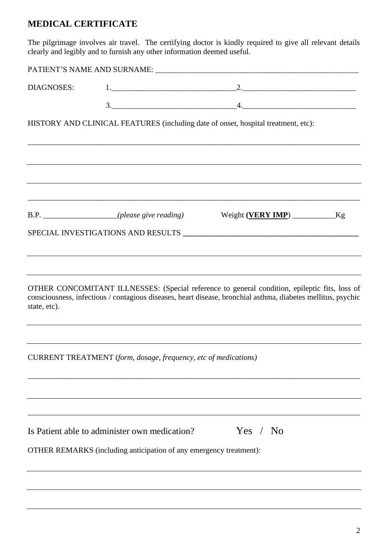# **MEDICAL CERTIFICATE**

The pilgrimage involves air travel. The certifying doctor is kindly required to give all relevant details clearly and legibly and to furnish any other information deemed useful.

| DIAGNOSES:   |                                                                                                                                                                                                               | $1. \underline{\hspace{2.0cm}2. \underline{\hspace{2.0cm}}}$ |  |
|--------------|---------------------------------------------------------------------------------------------------------------------------------------------------------------------------------------------------------------|--------------------------------------------------------------|--|
|              | $\begin{array}{c}\n3.\n\end{array}$                                                                                                                                                                           | $\frac{4}{2}$                                                |  |
|              | HISTORY AND CLINICAL FEATURES (including date of onset, hospital treatment, etc):                                                                                                                             |                                                              |  |
|              |                                                                                                                                                                                                               |                                                              |  |
|              | B.P. __________________(please give reading)                                                                                                                                                                  |                                                              |  |
|              |                                                                                                                                                                                                               |                                                              |  |
| state, etc). | OTHER CONCOMITANT ILLNESSES: (Special reference to general condition, epileptic fits, loss of<br>consciousness, infectious / contagious diseases, heart disease, bronchial asthma, diabetes mellitus, psychic |                                                              |  |
|              | CURRENT TREATMENT (form, dosage, frequency, etc of medications)                                                                                                                                               |                                                              |  |
|              |                                                                                                                                                                                                               |                                                              |  |
|              | Is Patient able to administer own medication?                                                                                                                                                                 | Yes / No                                                     |  |
|              | OTHER REMARKS (including anticipation of any emergency treatment):                                                                                                                                            |                                                              |  |
|              |                                                                                                                                                                                                               |                                                              |  |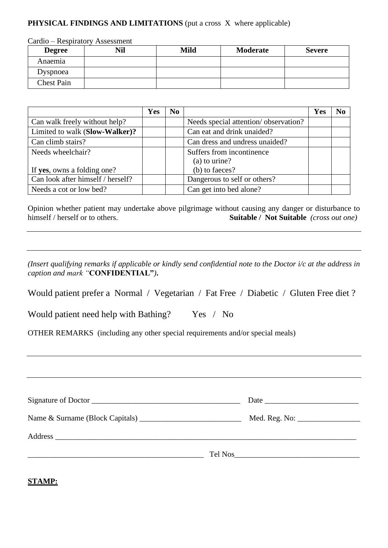### **PHYSICAL FINDINGS AND LIMITATIONS** (put a cross X where applicable)

Cardio – Respiratory Assessment

| <b>Degree</b>     | Nil | Mild | Moderate | <b>Severe</b> |
|-------------------|-----|------|----------|---------------|
| Anaemia           |     |      |          |               |
| Dyspnoea          |     |      |          |               |
| <b>Chest Pain</b> |     |      |          |               |

|                                   | Yes | N <sub>0</sub> |                                      | <b>Yes</b> | N <sub>0</sub> |
|-----------------------------------|-----|----------------|--------------------------------------|------------|----------------|
| Can walk freely without help?     |     |                | Needs special attention/observation? |            |                |
| Limited to walk (Slow-Walker)?    |     |                | Can eat and drink unaided?           |            |                |
| Can climb stairs?                 |     |                | Can dress and undress unaided?       |            |                |
| Needs wheelchair?                 |     |                | Suffers from incontinence            |            |                |
|                                   |     |                | (a) to urine?                        |            |                |
| If yes, owns a folding one?       |     |                | (b) to faeces?                       |            |                |
| Can look after himself / herself? |     |                | Dangerous to self or others?         |            |                |
| Needs a cot or low bed?           |     |                | Can get into bed alone?              |            |                |

Opinion whether patient may undertake above pilgrimage without causing any danger or disturbance to himself / herself or to others.<br> **Suitable / Not Suitable** (cross out one) Suitable / Not Suitable *(cross out one)* 

*(Insert qualifying remarks if applicable or kindly send confidential note to the Doctor i/c at the address in caption and mark "***CONFIDENTIAL"***)***.**

Would patient prefer a Normal / Vegetarian / Fat Free / Diabetic / Gluten Free diet ?

| Would patient need help with Bathing? |  | Yes / No |
|---------------------------------------|--|----------|
|---------------------------------------|--|----------|

OTHER REMARKS (including any other special requirements and/or special meals)

| Signature of Doctor |  |
|---------------------|--|
|                     |  |
|                     |  |
|                     |  |
|                     |  |

**STAMP:**